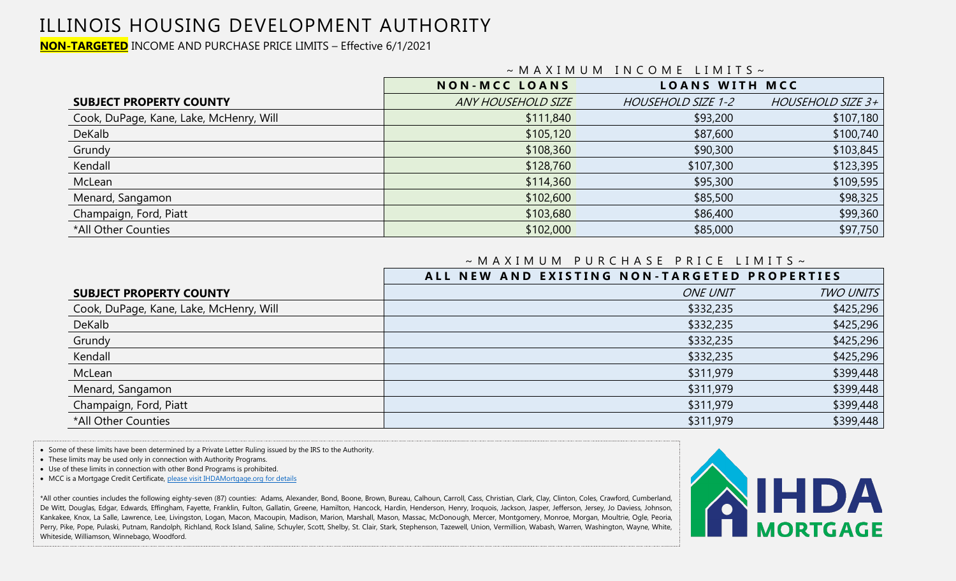### ILLINOIS HOUSING DEVELOPMENT AUTHORITY

**NON-TARGETED** INCOME AND PURCHASE PRICE LIMITS – Effective 6/1/2021

|                                         | $~\sim$ MAXIMUM INCOME LIMITS $\sim$ |                       |                   |  |  |  |
|-----------------------------------------|--------------------------------------|-----------------------|-------------------|--|--|--|
|                                         | <b>NON-MCC LOANS</b>                 | <b>LOANS WITH MCC</b> |                   |  |  |  |
| <b>SUBJECT PROPERTY COUNTY</b>          | <b>ANY HOUSEHOLD SIZE</b>            | HOUSEHOLD SIZE 1-2    | HOUSEHOLD SIZE 3+ |  |  |  |
| Cook, DuPage, Kane, Lake, McHenry, Will | \$111,840                            | \$93,200              | \$107,180         |  |  |  |
| DeKalb                                  | \$105,120                            | \$87,600              | \$100,740         |  |  |  |
| Grundy                                  | \$108,360                            | \$90,300              | \$103,845         |  |  |  |
| Kendall                                 | \$128,760                            | \$107,300             | \$123,395         |  |  |  |
| McLean                                  | \$114,360                            | \$95,300              | \$109,595         |  |  |  |
| Menard, Sangamon                        | \$102,600                            | \$85,500              | \$98,325          |  |  |  |
| Champaign, Ford, Piatt                  | \$103,680                            | \$86,400              | \$99,360          |  |  |  |
| *All Other Counties                     | \$102,000                            | \$85,000              | \$97,750          |  |  |  |

#### ~ M A X I M U M P U R C H A S E P R I C E L I M I T S ~

|                                         | ALL NEW AND EXISTING NON-TARGETED PROPERTIES |                  |
|-----------------------------------------|----------------------------------------------|------------------|
| <b>SUBJECT PROPERTY COUNTY</b>          | <b>ONE UNIT</b>                              | <b>TWO UNITS</b> |
| Cook, DuPage, Kane, Lake, McHenry, Will | \$332,235                                    | \$425,296        |
| DeKalb                                  | \$332,235                                    | \$425,296        |
| Grundy                                  | \$332,235                                    | \$425,296        |
| Kendall                                 | \$332,235                                    | \$425,296        |
| McLean                                  | \$311,979                                    | \$399,448        |
| Menard, Sangamon                        | \$311,979                                    | \$399,448        |
| Champaign, Ford, Piatt                  | \$311,979                                    | \$399,448        |
| *All Other Counties                     | \$311,979                                    | \$399,448        |

• Some of these limits have been determined by a Private Letter Ruling issued by the IRS to the Authority.

• These limits may be used only in connection with Authority Programs.

• Use of these limits in connection with other Bond Programs is prohibited.

• MCC is a Mortgage Credit Certificate[, please visit IHDAMortgage.org](http://www.ihdamortgage.org/) for details

Kankakee, Knox, La Salle, Lawrence, Lee, Livingston, Logan, Macon, Macoupin, Madison, Marion, Marshall, Mason, Massac, McDonough, Mercer, Montgomery, Monroe, Morgan, Moultrie, Ogle, Peoria, \*All other counties includes the following eighty-seven (87) counties: Adams, Alexander, Bond, Boone, Brown, Bureau, Calhoun, Carroll, Cass, Christian, Clark, Clay, Clinton, Coles, Crawford, Cumberland, De Witt, Douglas, Edgar, Edwards, Effingham, Fayette, Franklin, Fulton, Gallatin, Greene, Hamilton, Hancock, Hardin, Henderson, Henry, Iroquois, Jackson, Jasper, Jefferson, Jersey, Jo Daviess, Johnson, Perry, Pike, Pope, Pulaski, Putnam, Randolph, Richland, Rock Island, Saline, Schuyler, Scott, Shelby, St. Clair, Stark, Stephenson, Tazewell, Union, Vermillion, Wabash, Warren, Washington, Wayne, White, Whiteside, Williamson, Winnebago, Woodford.

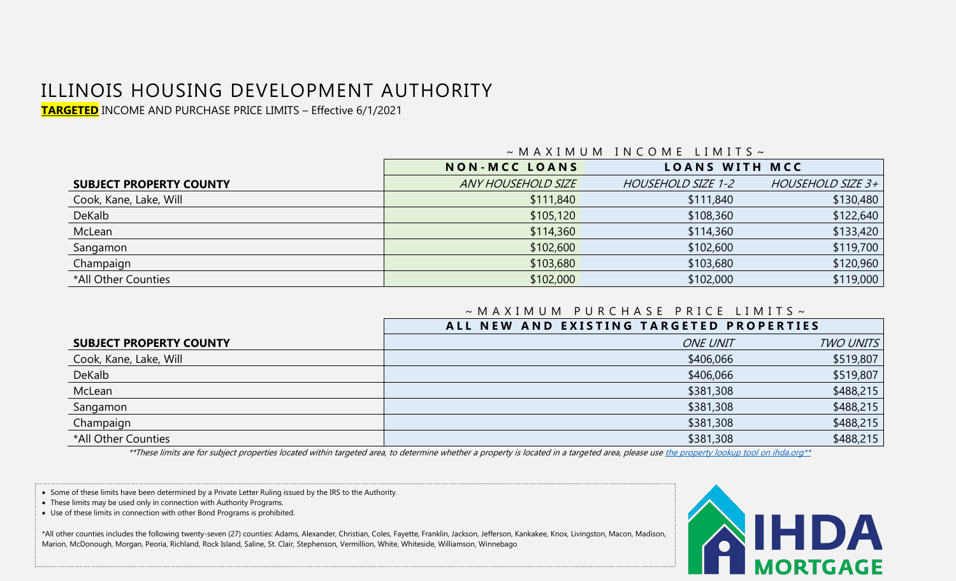# ILLINOIS HOUSING DEVELOPMENT AUTHORITY

**TARGETED** INCOME AND PURCHASE PRICE LIMITS – Effective 6/1/2021

|                                | $\sim$ MAXIMUM INCOMELIMIIS $\sim$ |                       |                   |  |  |  |
|--------------------------------|------------------------------------|-----------------------|-------------------|--|--|--|
|                                | <b>NON-MCC LOANS</b>               | <b>LOANS WITH MCC</b> |                   |  |  |  |
| <b>SUBJECT PROPERTY COUNTY</b> | <b>ANY HOUSEHOLD SIZE</b>          | HOUSEHOLD SIZE 1-2    | HOUSEHOLD SIZE 3+ |  |  |  |
| Cook, Kane, Lake, Will         | \$111,840                          | \$111,840             | \$130,480         |  |  |  |
| DeKalb                         | \$105,120                          | \$108,360             | \$122,640         |  |  |  |
| McLean                         | \$114,360                          | \$114,360             | \$133,420         |  |  |  |
| Sangamon                       | \$102,600                          | \$102,600             | \$119,700         |  |  |  |
| Champaign                      | \$103,680                          | \$103,680             | \$120,960         |  |  |  |
| *All Other Counties            | \$102,000                          | \$102,000             | \$119,000         |  |  |  |

#### $\sim$  M A X I M U M I N C O M E L I M I T S  $\sim$

#### $\sim$  M A X I M U M P U R C H A S E P R I C E L I M I T S  $\sim$

|                                | ALL NEW AND EXISTING TARGETED PROPERTIES |                  |
|--------------------------------|------------------------------------------|------------------|
| <b>SUBJECT PROPERTY COUNTY</b> | <b>ONE UNIT</b>                          | <b>TWO UNITS</b> |
| Cook, Kane, Lake, Will         | \$406,066                                | \$519,807        |
| DeKalb                         | \$406,066                                | \$519,807        |
| McLean                         | \$381,308                                | \$488,215        |
| Sangamon                       | \$381,308                                | \$488,215        |
| Champaign                      | \$381,308                                | \$488,215        |
| *All Other Counties            | \$381,308                                | \$488,215        |

\*\*These limits are for subject properties located within targeted area, to determine whether a property is located in a targeted area, please us[e the property lookup tool on ihda.org\\*\\*](https://www.ihda.org/lenders-realtors/targeted-areas/)

• Some of these limits have been determined by a Private Letter Ruling issued by the IRS to the Authority.

- These limits may be used only in connection with Authority Programs.
- Use of these limits in connection with other Bond Programs is prohibited.

\*All other counties includes the following twenty-seven (27) counties: Adams, Alexander, Christian, Coles, Fayette, Franklin, Jackson, Jefferson, Kankakee, Knox, Livingston, Macon, Madison, Marion, McDonough, Morgan, Peoria, Richland, Rock Island, Saline, St. Clair, Stephenson, Vermillion, White, Whiteside, Williamson, Winnebago

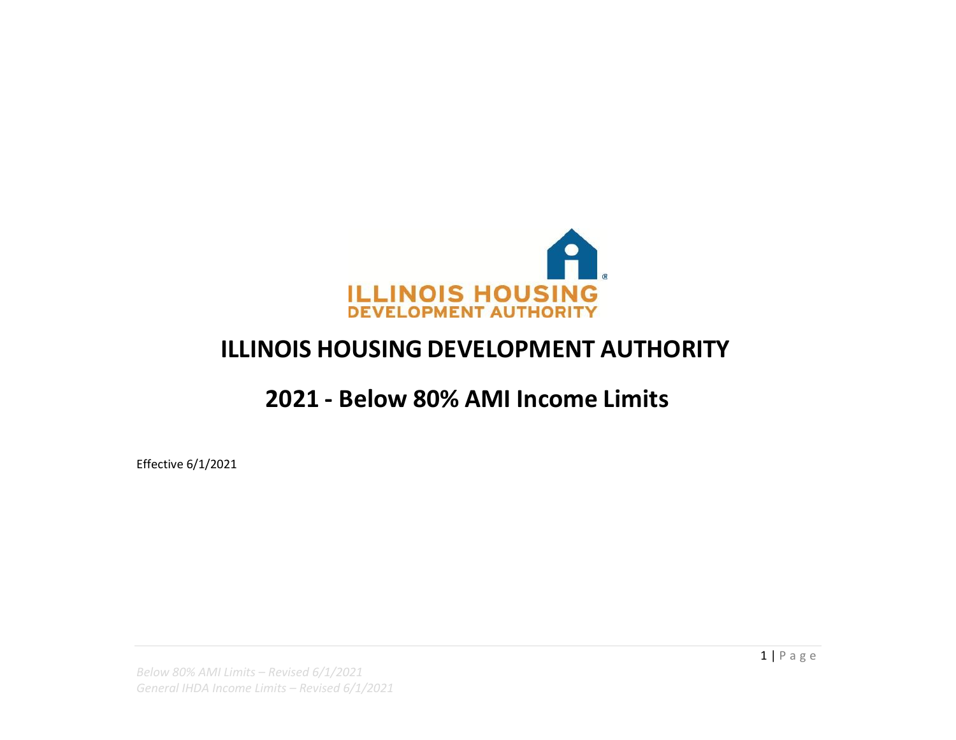

## **ILLINOIS HOUSING DEVELOPMENT AUTHORITY**

### **2021 - Below 80% AMI Income Limits**

Effective 6/1/2021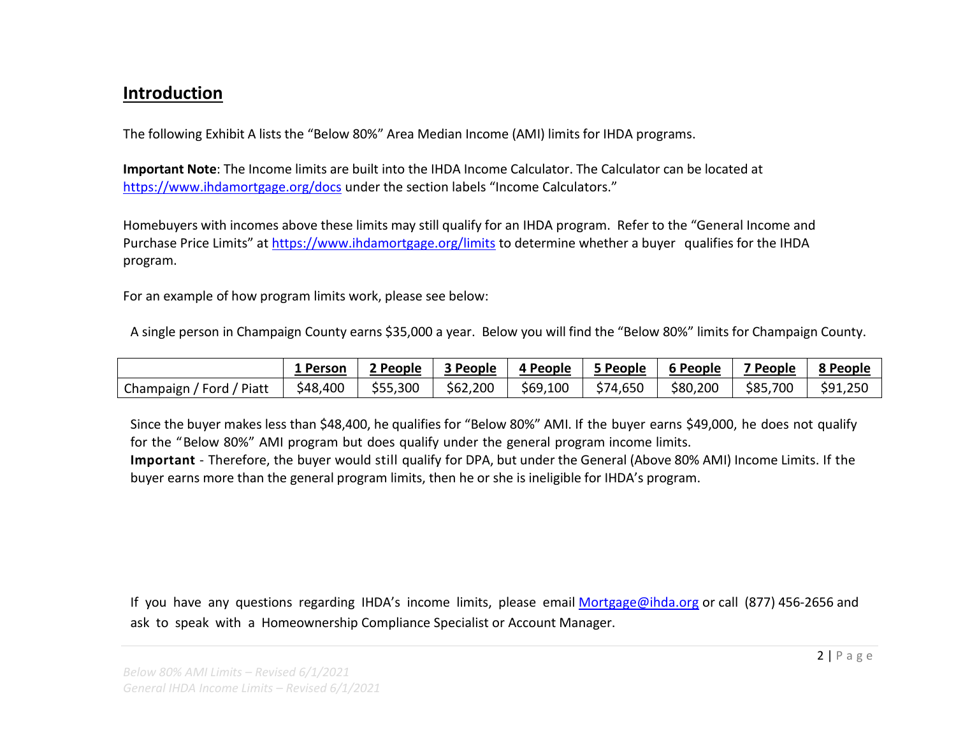### **Introduction**

The following Exhibit A lists the "Below 80%" Area Median Income (AMI) limits for IHDA programs.

**Important Note**: The Income limits are built into the IHDA Income Calculator. The Calculator can be located at <https://www.ihdamortgage.org/docs> under the section labels "Income Calculators."

Homebuyers with incomes above these limits may still qualify for an IHDA program. Refer to the "General Income and Purchase Price Limits" at <https://www.ihdamortgage.org/limits> to determine whether a buyer qualifies for the IHDA program.

For an example of how program limits work, please see below:

A single person in Champaign County earns \$35,000 a year. Below you will find the "Below 80%" limits for Champaign County.

|                                               | 1 Person | 2 People | 3 People | 4 People | 5 People | 6 People | 7 People | 8 People |
|-----------------------------------------------|----------|----------|----------|----------|----------|----------|----------|----------|
| Piatt<br>Champaign $\overline{I}$<br>، Ford · | \$48,400 | \$55,300 | \$62,200 | \$69,100 | \$74,650 | \$80,200 | \$85,700 | \$91,250 |

Since the buyer makes less than \$48,400, he qualifies for "Below 80%" AMI. If the buyer earns \$49,000, he does not qualify for the "Below 80%" AMI program but does qualify under the general program income limits.

**Important** - Therefore, the buyer would still qualify for DPA, but under the General (Above 80% AMI) Income Limits. If the buyer earns more than the general program limits, then he or she is ineligible for IHDA's program.

If you have any questions regarding IHDA's income limits, please email [Mortgage@ihda.org](mailto:Mortgage@ihda.org) or call (877) 456-2656 and ask to speak with a Homeownership Compliance Specialist or Account Manager.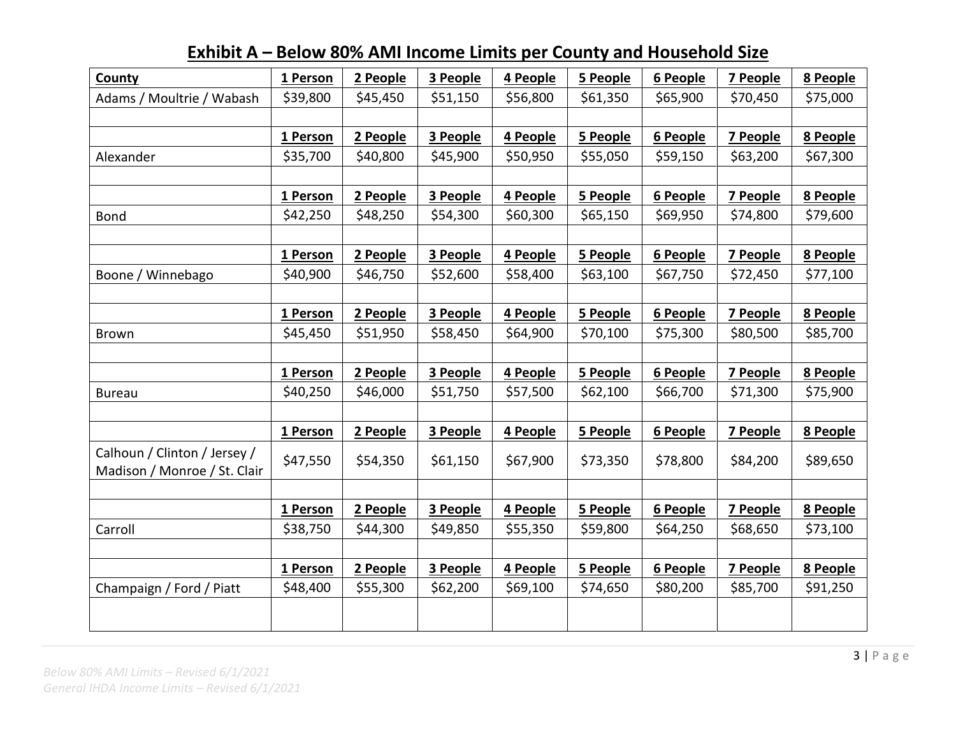| County                       | 1 Person | 2 People | 3 People | 4 People | 5 People | 6 People | 7 People        | 8 People |
|------------------------------|----------|----------|----------|----------|----------|----------|-----------------|----------|
| Adams / Moultrie / Wabash    | \$39,800 | \$45,450 | \$51,150 | \$56,800 | \$61,350 | \$65,900 | \$70,450        | \$75,000 |
|                              |          |          |          |          |          |          |                 |          |
|                              | 1 Person | 2 People | 3 People | 4 People | 5 People | 6 People | 7 People        | 8 People |
| Alexander                    | \$35,700 | \$40,800 | \$45,900 | \$50,950 | \$55,050 | \$59,150 | \$63,200        | \$67,300 |
|                              |          |          |          |          |          |          |                 |          |
|                              | 1 Person | 2 People | 3 People | 4 People | 5 People | 6 People | 7 People        | 8 People |
| <b>Bond</b>                  | \$42,250 | \$48,250 | \$54,300 | \$60,300 | \$65,150 | \$69,950 | \$74,800        | \$79,600 |
|                              |          |          |          |          |          |          |                 |          |
|                              | 1 Person | 2 People | 3 People | 4 People | 5 People | 6 People | 7 People        | 8 People |
| Boone / Winnebago            | \$40,900 | \$46,750 | \$52,600 | \$58,400 | \$63,100 | \$67,750 | \$72,450        | \$77,100 |
|                              |          |          |          |          |          |          |                 |          |
|                              | 1 Person | 2 People | 3 People | 4 People | 5 People | 6 People | <b>7 People</b> | 8 People |
| Brown                        | \$45,450 | \$51,950 | \$58,450 | \$64,900 | \$70,100 | \$75,300 | \$80,500        | \$85,700 |
|                              |          |          |          |          |          |          |                 |          |
|                              | 1 Person | 2 People | 3 People | 4 People | 5 People | 6 People | 7 People        | 8 People |
| <b>Bureau</b>                | \$40,250 | \$46,000 | \$51,750 | \$57,500 | \$62,100 | \$66,700 | \$71,300        | \$75,900 |
|                              |          |          |          |          |          |          |                 |          |
|                              | 1 Person | 2 People | 3 People | 4 People | 5 People | 6 People | 7 People        | 8 People |
| Calhoun / Clinton / Jersey / | \$47,550 | \$54,350 | \$61,150 | \$67,900 | \$73,350 | \$78,800 | \$84,200        | \$89,650 |
| Madison / Monroe / St. Clair |          |          |          |          |          |          |                 |          |
|                              |          |          |          |          |          |          |                 |          |
|                              | 1 Person | 2 People | 3 People | 4 People | 5 People | 6 People | 7 People        | 8 People |
| Carroll                      | \$38,750 | \$44,300 | \$49,850 | \$55,350 | \$59,800 | \$64,250 | \$68,650        | \$73,100 |
|                              |          |          |          |          |          |          |                 |          |
|                              | 1 Person | 2 People | 3 People | 4 People | 5 People | 6 People | 7 People        | 8 People |
| Champaign / Ford / Piatt     | \$48,400 | \$55,300 | \$62,200 | \$69,100 | \$74,650 | \$80,200 | \$85,700        | \$91,250 |
|                              |          |          |          |          |          |          |                 |          |
|                              |          |          |          |          |          |          |                 |          |

### **Exhibit A – Below 80% AMI Income Limits per County and Household Size**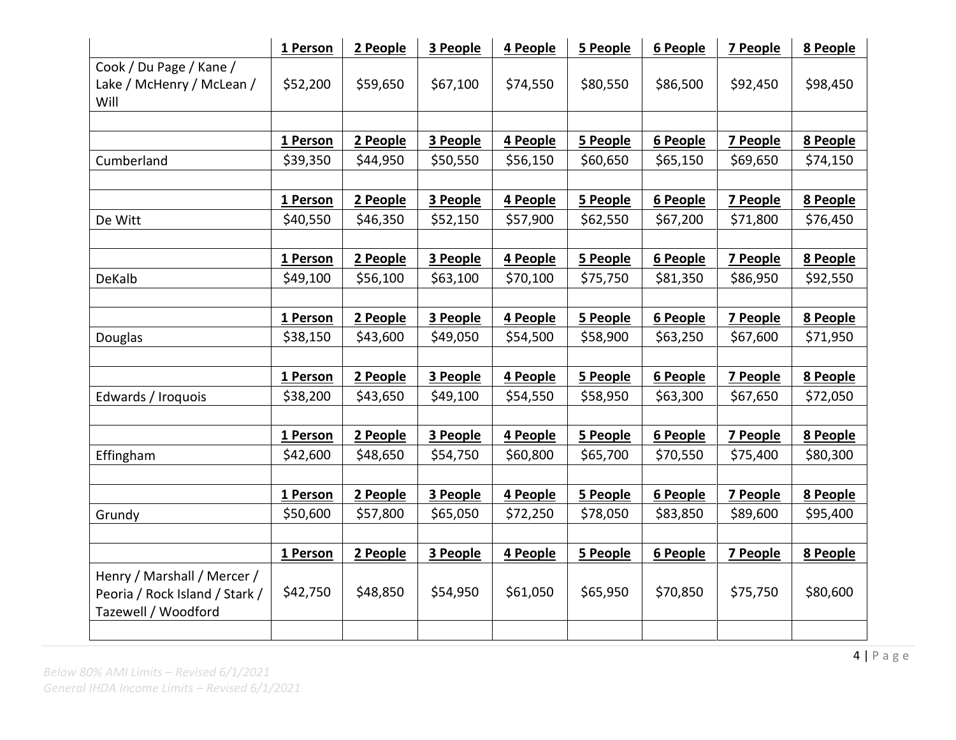|                                   | 1 Person | 2 People | 3 People | 4 People | 5 People | 6 People | <b>7 People</b> | 8 People |
|-----------------------------------|----------|----------|----------|----------|----------|----------|-----------------|----------|
| Cook / Du Page / Kane /           |          |          |          |          |          |          |                 |          |
| Lake / McHenry / McLean /<br>Will | \$52,200 | \$59,650 | \$67,100 | \$74,550 | \$80,550 | \$86,500 | \$92,450        | \$98,450 |
|                                   |          |          |          |          |          |          |                 |          |
|                                   | 1 Person | 2 People | 3 People | 4 People | 5 People | 6 People | <b>7 People</b> | 8 People |
| Cumberland                        | \$39,350 | \$44,950 | \$50,550 | \$56,150 | \$60,650 | \$65,150 | \$69,650        | \$74,150 |
|                                   |          |          |          |          |          |          |                 |          |
|                                   | 1 Person | 2 People | 3 People | 4 People | 5 People | 6 People | 7 People        | 8 People |
| De Witt                           | \$40,550 | \$46,350 | \$52,150 | \$57,900 | \$62,550 | \$67,200 | \$71,800        | \$76,450 |
|                                   |          |          |          |          |          |          |                 |          |
|                                   | 1 Person | 2 People | 3 People | 4 People | 5 People | 6 People | <b>7 People</b> | 8 People |
| DeKalb                            | \$49,100 | \$56,100 | \$63,100 | \$70,100 | \$75,750 | \$81,350 | \$86,950        | \$92,550 |
|                                   |          |          |          |          |          |          |                 |          |
|                                   | 1 Person | 2 People | 3 People | 4 People | 5 People | 6 People | 7 People        | 8 People |
| Douglas                           | \$38,150 | \$43,600 | \$49,050 | \$54,500 | \$58,900 | \$63,250 | \$67,600        | \$71,950 |
|                                   |          |          |          |          |          |          |                 |          |
|                                   | 1 Person | 2 People | 3 People | 4 People | 5 People | 6 People | 7 People        | 8 People |
| Edwards / Iroquois                | \$38,200 | \$43,650 | \$49,100 | \$54,550 | \$58,950 | \$63,300 | \$67,650        | \$72,050 |
|                                   |          |          |          |          |          |          |                 |          |
|                                   | 1 Person | 2 People | 3 People | 4 People | 5 People | 6 People | 7 People        | 8 People |
| Effingham                         | \$42,600 | \$48,650 | \$54,750 | \$60,800 | \$65,700 | \$70,550 | \$75,400        | \$80,300 |
|                                   |          |          |          |          |          |          |                 |          |
|                                   | 1 Person | 2 People | 3 People | 4 People | 5 People | 6 People | 7 People        | 8 People |
| Grundy                            | \$50,600 | \$57,800 | \$65,050 | \$72,250 | \$78,050 | \$83,850 | \$89,600        | \$95,400 |
|                                   |          |          |          |          |          |          |                 |          |
|                                   | 1 Person | 2 People | 3 People | 4 People | 5 People | 6 People | <b>7 People</b> | 8 People |
| Henry / Marshall / Mercer /       |          |          |          |          |          |          |                 |          |
| Peoria / Rock Island / Stark /    | \$42,750 | \$48,850 | \$54,950 | \$61,050 | \$65,950 | \$70,850 | \$75,750        | \$80,600 |
| Tazewell / Woodford               |          |          |          |          |          |          |                 |          |
|                                   |          |          |          |          |          |          |                 |          |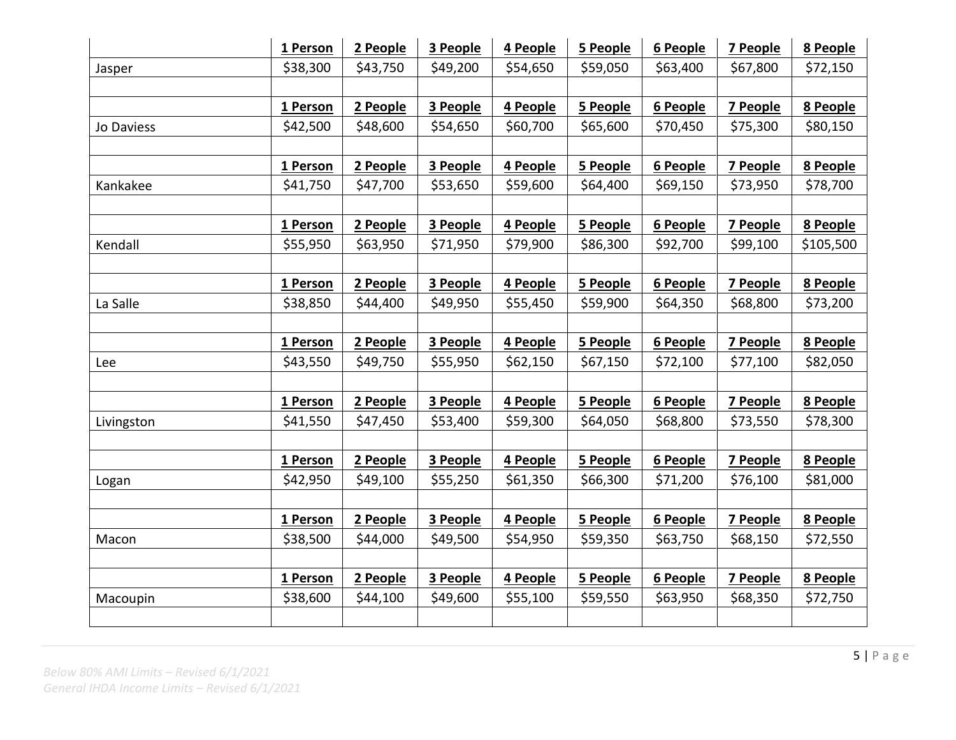|            | 1 Person | 2 People | 3 People | 4 People | 5 People | 6 People | 7 People        | 8 People  |
|------------|----------|----------|----------|----------|----------|----------|-----------------|-----------|
| Jasper     | \$38,300 | \$43,750 | \$49,200 | \$54,650 | \$59,050 | \$63,400 | \$67,800        | \$72,150  |
|            |          |          |          |          |          |          |                 |           |
|            | 1 Person | 2 People | 3 People | 4 People | 5 People | 6 People | 7 People        | 8 People  |
| Jo Daviess | \$42,500 | \$48,600 | \$54,650 | \$60,700 | \$65,600 | \$70,450 | \$75,300        | \$80,150  |
|            |          |          |          |          |          |          |                 |           |
|            | 1 Person | 2 People | 3 People | 4 People | 5 People | 6 People | 7 People        | 8 People  |
| Kankakee   | \$41,750 | \$47,700 | \$53,650 | \$59,600 | \$64,400 | \$69,150 | \$73,950        | \$78,700  |
|            |          |          |          |          |          |          |                 |           |
|            | 1 Person | 2 People | 3 People | 4 People | 5 People | 6 People | 7 People        | 8 People  |
| Kendall    | \$55,950 | \$63,950 | \$71,950 | \$79,900 | \$86,300 | \$92,700 | \$99,100        | \$105,500 |
|            |          |          |          |          |          |          |                 |           |
|            | 1 Person | 2 People | 3 People | 4 People | 5 People | 6 People | 7 People        | 8 People  |
| La Salle   | \$38,850 | \$44,400 | \$49,950 | \$55,450 | \$59,900 | \$64,350 | \$68,800        | \$73,200  |
|            |          |          |          |          |          |          |                 |           |
|            | 1 Person | 2 People | 3 People | 4 People | 5 People | 6 People | <b>7 People</b> | 8 People  |
| Lee        | \$43,550 | \$49,750 | \$55,950 | \$62,150 | \$67,150 | \$72,100 | \$77,100        | \$82,050  |
|            |          |          |          |          |          |          |                 |           |
|            | 1 Person | 2 People | 3 People | 4 People | 5 People | 6 People | 7 People        | 8 People  |
| Livingston | \$41,550 | \$47,450 | \$53,400 | \$59,300 | \$64,050 | \$68,800 | \$73,550        | \$78,300  |
|            |          |          |          |          |          |          |                 |           |
|            | 1 Person | 2 People | 3 People | 4 People | 5 People | 6 People | <b>7 People</b> | 8 People  |
| Logan      | \$42,950 | \$49,100 | \$55,250 | \$61,350 | \$66,300 | \$71,200 | \$76,100        | \$81,000  |
|            |          |          |          |          |          |          |                 |           |
|            | 1 Person | 2 People | 3 People | 4 People | 5 People | 6 People | 7 People        | 8 People  |
| Macon      | \$38,500 | \$44,000 | \$49,500 | \$54,950 | \$59,350 | \$63,750 | \$68,150        | \$72,550  |
|            |          |          |          |          |          |          |                 |           |
|            | 1 Person | 2 People | 3 People | 4 People | 5 People | 6 People | 7 People        | 8 People  |
| Macoupin   | \$38,600 | \$44,100 | \$49,600 | \$55,100 | \$59,550 | \$63,950 | \$68,350        | \$72,750  |
|            |          |          |          |          |          |          |                 |           |